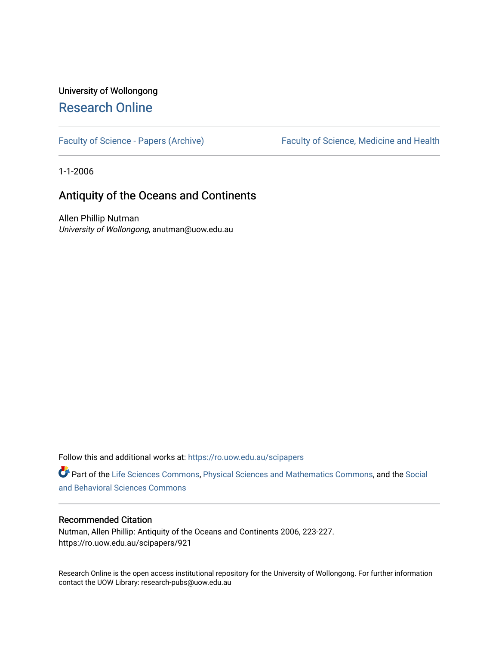# University of Wollongong [Research Online](https://ro.uow.edu.au/)

[Faculty of Science - Papers \(Archive\)](https://ro.uow.edu.au/scipapers) Faculty of Science, Medicine and Health

1-1-2006

# Antiquity of the Oceans and Continents

Allen Phillip Nutman University of Wollongong, anutman@uow.edu.au

Follow this and additional works at: [https://ro.uow.edu.au/scipapers](https://ro.uow.edu.au/scipapers?utm_source=ro.uow.edu.au%2Fscipapers%2F921&utm_medium=PDF&utm_campaign=PDFCoverPages)

Part of the [Life Sciences Commons,](http://network.bepress.com/hgg/discipline/1016?utm_source=ro.uow.edu.au%2Fscipapers%2F921&utm_medium=PDF&utm_campaign=PDFCoverPages) [Physical Sciences and Mathematics Commons,](http://network.bepress.com/hgg/discipline/114?utm_source=ro.uow.edu.au%2Fscipapers%2F921&utm_medium=PDF&utm_campaign=PDFCoverPages) and the [Social](http://network.bepress.com/hgg/discipline/316?utm_source=ro.uow.edu.au%2Fscipapers%2F921&utm_medium=PDF&utm_campaign=PDFCoverPages)  [and Behavioral Sciences Commons](http://network.bepress.com/hgg/discipline/316?utm_source=ro.uow.edu.au%2Fscipapers%2F921&utm_medium=PDF&utm_campaign=PDFCoverPages) 

## Recommended Citation

Nutman, Allen Phillip: Antiquity of the Oceans and Continents 2006, 223-227. https://ro.uow.edu.au/scipapers/921

Research Online is the open access institutional repository for the University of Wollongong. For further information contact the UOW Library: research-pubs@uow.edu.au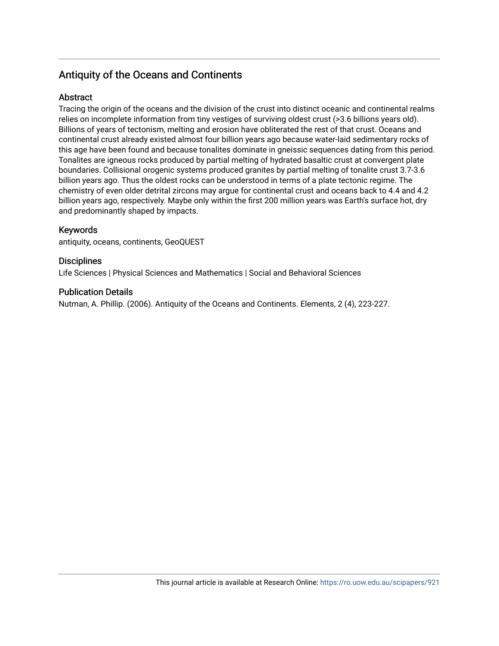# Antiquity of the Oceans and Continents

# Abstract

Tracing the origin of the oceans and the division of the crust into distinct oceanic and continental realms relies on incomplete information from tiny vestiges of surviving oldest crust (>3.6 billions years old). Billions of years of tectonism, melting and erosion have obliterated the rest of that crust. Oceans and continental crust already existed almost four billion years ago because water-laid sedimentary rocks of this age have been found and because tonalites dominate in gneissic sequences dating from this period. Tonalites are igneous rocks produced by partial melting of hydrated basaltic crust at convergent plate boundaries. Collisional orogenic systems produced granites by partial melting of tonalite crust 3.7-3.6 billion years ago. Thus the oldest rocks can be understood in terms of a plate tectonic regime. The chemistry of even older detrital zircons may argue for continental crust and oceans back to 4.4 and 4.2 billion years ago, respectively. Maybe only within the first 200 million years was Earth's surface hot, dry and predominantly shaped by impacts.

# Keywords

antiquity, oceans, continents, GeoQUEST

# **Disciplines**

Life Sciences | Physical Sciences and Mathematics | Social and Behavioral Sciences

# Publication Details

Nutman, A. Phillip. (2006). Antiquity of the Oceans and Continents. Elements, 2 (4), 223-227.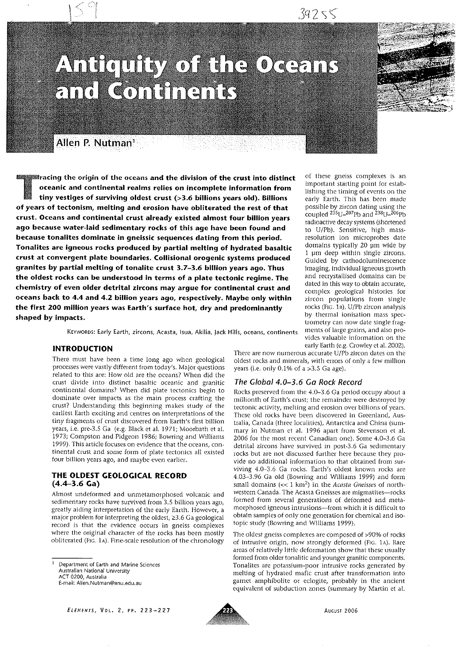of these gneiss complexes is an

important starting point for estab-

lishing the timing of events on the

early Earth. This has been made

possible by zircon dating using the coupled <sup>235</sup>U-207Pb and <sup>238</sup>U-206Pb

radioactive decay systems (shortened

to U/Pb). Sensitive, high mass-

resolution ion microprobes date domains typically 20 um wide by

1 um deep within single zircons.

Guided by cathodoluminescence

imaging, individual igneous growth and recrystallised domains can be

dated in this way to obtain accurate,

complex geological histories for

zircon populations from single rocks (FtG. 1B). U/Pb zircon analysis

by thermal ionisation mass spec-

trometry can now date single fragments of large grains, and also pro-

vides valuable information on the

# Anicoutty of the Oceans and Continents



Allen P. Nutman<sup>1</sup>

 $\blacksquare$ racing the origin of the oceans and the division of the crust into distinct oceanic and continental realms relies on incomplete information from tiny vestiges of surviving oldest crust (>3.6 billions years old). Billions of years of tectonism, melting and erosion have obliterated the rest of that crust. Oceans and continental crust already existed almost four billion years ago because water-laid sedimentary rocks of this age have been found and because tonalites dominate in gneissic sequences dating from this period. Tonalites are igneous rocks produced by partial melting of hydrated basaltic crust at convergent plate boundaries. Collisional orogenic systems produced granites by partial melting of tonalite crust 3.7-3.6 billion years ago. Thus the oldest rocks can be understood in terms of a plate tectonic regime. The chemistry of even older detrital zircons may argue for continental crust and oceans back to 4.4 and 4.2 billion years ago, respectively. Maybe only within the first 200 million years was Earth's surface hot, dry and predominantly shaped by impacts.

KEYWORDS: Early Earth, zircons, Acasta, Isua, Akilia, Jack Hills, oceans, continents

#### **INTRODUCTION**

There must have been a time long ago when geological processes were vastly different from today's. Major questions related to this are: How old are the oceans? When did the crust divide into distinct basaltic oceanic and granitic continental domains? When did plate tectonics begin to dominate over impacts as the main process crafting the crust? Understanding this beginning makes study of the earliest Earth exciting and centres on interpretations of the tiny fragments of crust discovered from Earth's first billion years, i.e. pre-3.5 Ga (e.g. Black et al. 1971; Moorbath et al. 1973; Compston and Pidgeon 1986; Bowring and Williams 1999). This article focuses on evidence that the oceans, continental crust and some form of plate tectonics all existed four billion years ago, and maybe even earlier.

#### THE OLDEST GEOLOGICAL RECORD  $(4.4 - 3.6)$  Ga)

Almost undeformed and unmetamorphosed volcanic and sedimentary rocks have survived from 3.5 billion years ago, greatly aiding interpretation of the early Earth. However, a major problem for interpreting the oldest,  $\geq 3.6$  Ga geological record is that the evidence occurs in gneiss complexes where the original character of the rocks has been mostly obliterated (Fig. 1A). Fine-scale resolution of the chronology

early Earth (e.g. Crowley et al. 2002). There are now numerous accurate U/Pb zircon dates on the oldest rocks and minerals, with errors of only a few million years (i.e. only  $0.1\%$  of a >3.5 Ga age).

### The Global 4.0-3.6 Ga Rock Record

Rocks preserved from the 4.0-3.6 Ga period occupy about a millionth of Earth's crust; the remainder were destroyed by tectonic activity, melting and erosion over billions of years. These old rocks have been discovered in Greenland, Australia, Canada (three localities), Antarctica and China (summary in Nutman et al. 1996 apart from Stevenson et al. 2006 for the most recent Canadian one). Some 4.0-3.6 Ga detrital zircons have survived in post-3.6 Ga sedimentary rocks but are not discussed further here because they provide no additional information to that obtained from surviving 4.0-3.6 Ga rocks. Earth's oldest known rocks are 4.03-3.96 Ga old (Bowring and Williams 1999) and form small domains  $\ll 1 \text{ km}^2$ ) in the Acasta Gneisses of northwestern Canada. The Acasta Gneisses are migmatites-rocks formed from several generations of deformed and metamorphosed igneous intrusions-from which it is difficult to obtain samples of only one generation for chemical and isotopic study (Bowring and Williams 1999).

The oldest gneiss complexes are composed of >90% of rocks of intrusive origin, now strongly deformed (FIG. 1A). Rare areas of relatively little deformation show that these usually formed from older tonalitic and younger granitic components. Tonalites are potassium-poor intrusive rocks generated by melting of hydrated mafic crust after transformation into garnet amphibolite or eclogite, probably in the ancient equivalent of subduction zones (summary by Martin et al.



Department of Earth and Marine Sciences Australian National University ACT 0200, Australia E-mail: Allen.Nutman@anu.edu.au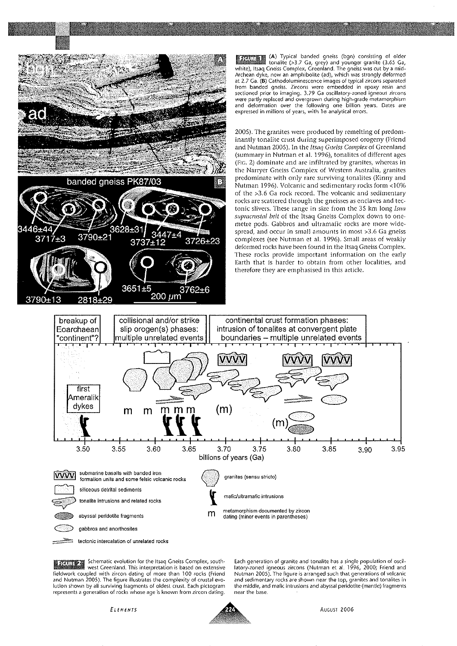

Schematic evolution for the Itsaq Gneiss Complex, south-**RATIZA** west Greenland. This interpretation is based on extensive fieldwork coupled with zircon dating of more than 100 rocks (Friend and Nutman 2005). The figure illustrates the complexity of crustal evolution shown by all surviving fragments of oldest crust. Each pictogram represents a generation of rocks whose age is known from zircon dating. Each generation of granite and tonalite has a single population of oscillatory-zoned igneous zircons (Nutman et al. 1996, 2000; Friend and Nutman 2005). The figure is arranged such that generations of volcanic and sedimentary rocks are shown near the top, granites and tonalites in the middle, and mafic intrusions and abyssal peridotite (mantle) fragments near the base.



AUGUST 2006

3.95

3.90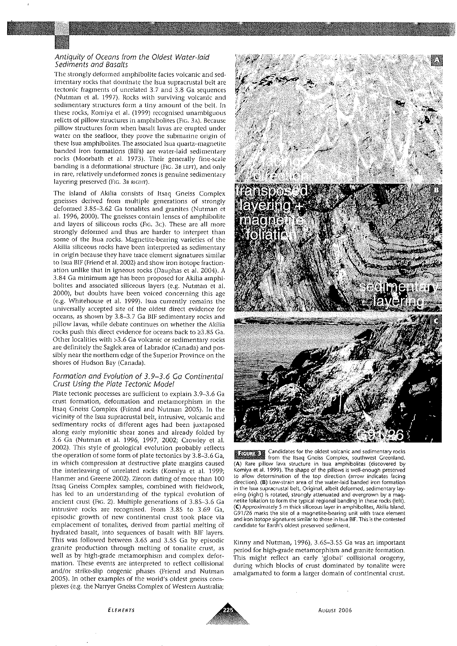#### Antiquity of Oceans from the Oldest Water-laid Sediments and Basalts

The strongly deformed amphibolite facies volcanic and sedimentary rocks that dominate the Isua supracrustal belt are tectonic fragments of unrelated 3.7 and 3.8 Ga sequences (Nutman et al. 1997). Rocks with surviving volcanic and sedimentary structures form a tiny amount of the belt. In these rocks, Komiya et al. (1999) recognised unambiguous relicts of pillow structures in amphibolites (FIG. 3A). Because pillow structures form when basalt lavas are erupted under water on the seafloor, they prove the submarine origin of these Isua amphibolites. The associated Isua quartz-magnetite banded iron formations (BIFs) are water-laid sedimentary rocks (Moorbath et al. 1973). Their generally fine-scale banding is a deformational structure (Fig. 3B LEFT), and only in rare, relatively undeformed zones is genuine sedimentary layering preserved (FIG. 3B RIGHT).

The island of Akilia consists of Itsaq Gneiss Complex gneisses derived from multiple generations of strongly deformed 3.85-3.62 Ga tonalites and granites (Nutman et al. 1996, 2000). The gneisses contain lenses of amphibolite and layers of siliceous rocks (Fig. 3c). These are all more strongly deformed and thus are harder to interpret than some of the Isua rocks. Magnetite-bearing varieties of the Akilia siliceous rocks have been interpreted as sedimentary in origin because they have trace element signatures similar to Isua BIF (Friend et al. 2002) and show iron isotope fractionation unlike that in igneous rocks (Dauphas et al. 2004). A 3.84 Ga minimum age has been proposed for Akilia amphibolites and associated siliceous layers (e.g. Nutman et al. 2000), but doubts have been voiced concerning this age (e.g. Whitehouse et al. 1999). Isua currently remains the universally accepted site of the oldest direct evidence for oceans, as shown by 3.8-3.7 Ga BIF sedimentary rocks and pillow lavas, while debate continues on whether the Akilia rocks push this direct evidence for oceans back to ≥3.85 Ga. Other localities with >3.6 Ga volcanic or sedimentary rocks are definitely the Saglek area of Labrador (Canada) and possibly near the northern edge of the Superior Province on the shores of Hudson Bay (Canada).

#### Formation and Evolution of 3.9-3.6 Ga Continental Crust Using the Plate Tectonic Model

Plate tectonic processes are sufficient to explain 3.9-3.6 Ga crust formation, deformation and metamorphism in the Itsaq Gneiss Complex (Friend and Nutman 2005). In the vicinity of the Isua supracrustal belt, intrusive, volcanic and sedimentary rocks of different ages had been juxtaposed along early mylonitic shear zones and already folded by 3.6 Ga (Nutman et al. 1996, 1997, 2002; Crowley et al. 2002). This style of geological evolution probably reflects the operation of some form of plate tectonics by 3.8-3.6 Ga, in which compression at destructive plate margins caused the interleaving of unrelated rocks (Komiya et al. 1999; Hanmer and Greene 2002). Zircon dating of more than 100 Itsaq Gneiss Complex samples, combined with fieldwork, has led to an understanding of the typical evolution of ancient crust (Fig. 2). Multiple generations of 3.85-3.6 Ga intrusive rocks are recognised. From 3.85 to 3.69 Ga, episodic growth of new continental crust took place via emplacement of tonalites, derived from partial melting of hydrated basalt, into sequences of basalt with BIF layers. This was followed between 3.65 and 3.55 Ga by episodic granite production through melting of tonalite crust, as well as by high-grade metamorphism and complex deformation. These events are interpreted to reflect collisional and/or strike-slip orogenic phases (Friend and Nutman 2005). In other examples of the world's oldest gneiss complexes (e.g. the Narryer Gneiss Complex of Western Australia;



Candidates for the oldest volcanic and sedimentary rocks RETTEN **Example 20** from the Itsaq Gneiss Complex, southwest Greenland.<br>(A) Rare pillow lava structure in Isua amphibolites (discovered by Komiya et al. 1999). The shape of the pillows is well-enough preserved to allow determination of the top direction (arrow indicates facing direction). (B) Low-strain area of the water-laid banded iron formation in the Isua supracrustal belt. Original, albeit deformed, sedimentary layering (right) is rotated, strongly attenuated and overgrown by a magnetite foliation to form the typical regional banding in these rocks (left). (C) Approximately 5 m thick siliceous layer in amphibolites, Akilia Island. G91/26 marks the site of a magnetite-bearing unit with trace element and iron isotope signatures similar to those in Isua BIF. This is the contested candidate for Earth's oldest preserved sediment.

Kinny and Nutman, 1996), 3.65-3.55 Ga was an important period for high-grade metamorphism and granite formation. This might reflect an early 'global' collisional orogeny, during which blocks of crust dominated by tonalite were amalgamated to form a larger domain of continental crust.



August 2006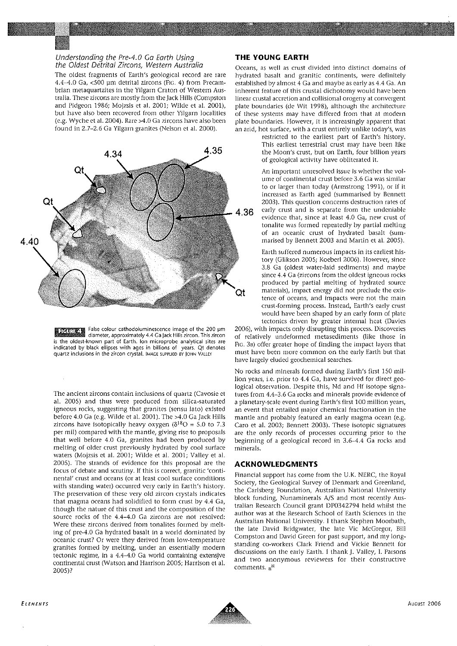#### Understanding the Pre-4.0 Ga Earth Using the Oldest Detrital Zircons, Western Australia

The oldest fragments of Earth's geological record are rare 4.4-4.0 Ga, <500 um detrital zircons (FIG. 4) from Precambrian metaquartzites in the Yilgarn Craton of Western Australia. These zircons are mostly from the Jack Hills (Compston and Pidgeon 1986; Mojzsis et al. 2001; Wilde et al. 2001), but have also been recovered from other Yilgarn localities (e.g. Wyche et al. 2004). Rare >4.0 Ga zircons have also been found in 2.7-2.6 Ga Yilgarn granites (Nelson et al. 2000).



**En Transier Communist Communist Communist Communist Communist Communist Communist Communist Communist Communis**<br> **Example: Communist Communist Communist Communist Communist Communist Communist Communist Communist Communis** is the oldest-known part of Earth. Ion microprobe analytical sites are indicated by black ellipses with ages in billions of years. Qt denotes quartz inclusions in the zircon crystal. IMAGE SUPPLIED BY JOHN VALLEY

The ancient zircons contain inclusions of quartz (Cavosie et al. 2005) and thus were produced from silica-saturated igneous rocks, suggesting that granites (sensu lato) existed before 4.0 Ga (e.g. Wilde et al. 2001). The >4.0 Ga Jack Hills zircons have isotopically heavy oxygen ( $\delta^{18}O = 5.0$  to 7.3 per mil) compared with the mantle, giving rise to proposals that well before 4.0 Ga, granites had been produced by melting of older crust previously hydrated by cool surface waters (Mojzsis et al. 2001; Wilde et al. 2001; Valley et al. 2005). The strands of evidence for this proposal are the focus of debate and scrutiny. If this is correct, granitic 'continental' crust and oceans (or at least cool surface conditions with standing water) occurred very early in Earth's history. The preservation of these very old zircon crystals indicates that magma oceans had solidified to form crust by 4.4 Ga, though the nature of this crust and the composition of the source rocks of the 4.4-4.0 Ga zircons are not resolved: Were these zircons derived from tonalites formed by melting of pre-4.0 Ga hydrated basalt in a world dominated by oceanic crust? Or were they derived from low-temperature granites formed by melting, under an essentially modern tectonic regime, in a 4.4-4.0 Ga world containing extensive continental crust (Watson and Harrison 2005; Harrison et al. 2005)?

## THE YOUNG EARTH

Oceans, as well as crust divided into distinct domains of hydrated basalt and granitic continents, were definitely established by almost 4 Ga and maybe as early as 4.4 Ga. An inherent feature of this crustal dichotomy would have been linear crustal accretion and collisional orogeny at convergent plate boundaries (de Wit 1998), although the architecture of these systems may have differed from that at modern plate boundaries. However, it is increasingly apparent that an arid, hot surface, with a crust entirely unlike today's, was

restricted to the earliest part of Earth's history. This earliest terrestrial crust may have been like the Moon's crust, but on Earth, four billion years of geological activity have obliterated it.

An important unresolved issue is whether the volume of continental crust before 3.6 Ga was similar to or larger than today (Armstrong 1991), or if it increased as Earth aged (summarised by Bennett 2003). This question concerns destruction rates of early crust and is separate from the undeniable evidence that, since at least 4.0 Ga, new crust of tonalite was formed repeatedly by partial melting of an oceanic crust of hydrated basalt (summarised by Bennett 2003 and Martin et al. 2005).

Earth suffered numerous impacts in its earliest history (Glikson 2005; Koeberl 2006). However, since 3.8 Ga (oldest water-laid sediments) and maybe since 4.4 Ga (zircons from the oldest igneous rocks produced by partial melting of hydrated source materials), impact energy did not preclude the existence of oceans, and impacts were not the main crust-forming process. Instead, Earth's early crust would have been shaped by an early form of plate tectonics driven by greater internal heat (Davies

2006), with impacts only disrupting this process. Discoveries of relatively undeformed metasediments (like those in FIG. 3B) offer greater hope of finding the impact layers that must have been more common on the early Earth but that have largely eluded geochemical searches.

No rocks and minerals formed during Earth's first 150 million years, i.e. prior to 4.4 Ga, have survived for direct geological observation. Despite this, Nd and Hf isotope signatures from 4.4-3.6 Ga rocks and minerals provide evidence of a planetary-scale event during Earth's first 100 million years, an event that entailed major chemical fractionation in the mantle and probably featured an early magma ocean (e.g. Caro et al. 2003; Bennett 2003). These isotopic signatures are the only records of processes occurring prior to the beginning of a geological record in 3.6-4.4 Ga rocks and minerals.

#### **ACKNOWLEDGMENTS**

Financial support has come from the U.K. NERC, the Royal Society, the Geological Survey of Denmark and Greenland, the Carlsberg Foundation, Australian National University block funding, Nunaminerals A/S and most recently Australian Research Council grant DP0342794 held whilst the author was at the Research School of Earth Sciences in the Australian National University. I thank Stephen Moorbath, the late David Bridgwater, the late Vic McGregor, Bill Compston and David Green for past support, and my longstanding co-workers Clark Friend and Vickie Bennett for discussions on the early Earth. I thank J. Valley, I. Parsons and two anonymous reviewers for their constructive comments. e<sup>ig</sup>

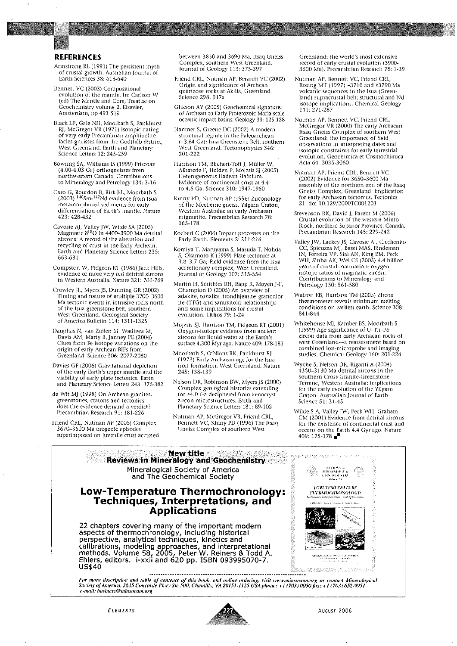#### **REFERENCES**

- Armstrong RL (1991) The persistent myth of crustal growth. Australian Journal of Earth Sciences 38: 613-640
- Bennett VC (2003) Compositional evolution of the mantle. In: Carlson W (ed) The Mantle and Core, Treatise on Geochemistry volume 2, Elsevier,<br>Amsterdam, pp 493-519
- Black LP, Gale NH, Moorbath S, Pankhurst RJ, McGregor VR (1971) Isotopic dating of very early Precambrian amphibolite facies gneisses from the Godthão district, West Greenland. Earth and Planetary<br>Science Letters 12: 245-259
- Bowring SA, Williams IS (1999) Priscoan (4.00-4.03 Ga) orthogneisses from northwestern Canada. Contributions to Mineralogy and Petrology 134: 3-16
- Caro G, Bourdon B, Birk J-L, Moorbath S<br>(2003) <sup>146</sup>Sm-<sup>142</sup>Nd evidence from Isua metamorphosed sediments for early differentiation of Earth's mantle. Nature 423: 428-432
- Cavosie AJ, Valley JW, Wilde SA (2005)<br>Magmatic 8<sup>18</sup>O in 4400–3900 Ma detrital zircons: A record of the alteration and recycling of crust in the Early Archean. Earth and Planetary Science Letters 235: 663-681
- Compston W, Pidgeon RT (1986) Jack Hills, evidence of more very old detrital zircons in Western Australia. Nature 321: 766-769
- Crowley JL, Myers JS, Dunning GR (2002) Timing and nature of multiple 3700–3600 Ma tectonic events in intrusive rocks north of the Isua greenstone belt, southern West Greenland, Geological Society of America Bulletin 114: 1311-1325
- Dauphas N, van Zuilen M, Wadhwa M, Davis AM, Marty B, Janney PE (2004) Clues from Fe isotope variations on the origin of early Archean BIFs from Greenland. Science 306: 2077-2080
- Davies GF (2006) Gravitational depletion of the early Earth's upper mantle and the<br>viability of early plate tectonics. Earth and Planetary Science Letters 243: 376-382
- de Wit MJ (1998) On Archean granites, greenstones, cratons and tectonics: does the evidence demand a verdict? Precambrian Research 91: 181-226
- Friend CRL, Nutman AP (2005) Complex 3670-3500 Ma orogenic episodes superimposed on juvenile crust accreted

between 3850 and 3690 Ma, Itsaq Gneiss Complex, southern West Greenland. Journal of Geology 113: 375-397

- Friend CRL, Nutman AP, Bennett VC (2002) Origin and significance of Archean quartzose rocks at Akilia, Greenland. Ścience 298: 917a
- Glikson AY (2005) Geochemical signatures of Archean to Early Proterozoic Maria-scale oceanic impact basins. Geology 33: 125-128
- Hanmer S, Greene DC (2002) A modern structural regime in the Paleoarchean (~3.64 Ga); Isua Greenstone Belt, southern West Greenland, Tectonophysics 346:  $201 - 222$
- Harrison TM, Blichert-Toft J, Müller W, Albarede F, Holden P, Mojzsis SJ (2005) Heterogeneous Hadean Hafnium: Evidence of continental crust at 4.4 to 4.5 Ga. Science 310: 1947-1950
- Kinny PD, Nutman AP (1996) Zirconology of the Meeberrie gneiss, Yilgarn Craton, Western Australia: an early Archaean migmatite. Precambrian Research 78: 165-178
- Koeberl C (2006) Impact processes on the Early Earth. Elements 2: 211-216
- Komiya T, Maruyama S, Masuda T, Nohda S., Okamoto K (1999) Plate tectories at<br>3.8–3.7 Ga; Field evidence from the Isua<br>accretionary complex, West Greenland.<br>Journal of Geology 107: 515-554
- Martin H, Smithies RH, Rapp R, Moyen J-F, Champion D (2005) An overview of adakite, tonalite-trondhjemite-granodiorite (TTG) and sanukitoid: relationships and some implications for crustal evolution. Lithos 79: 1-24
- Mojzsis SJ, Harrison TM, Pidgeon RT (2001) Oxygen-isotope evidence from ancient zircons for liquid water at the Earth's surface 4,300 Myr ago. Nature 409: 178-181
- Moorbath S, O'Nions RK, Pankhurst RJ (1973) Early Archaean age for the Isua iron formation, West Greenland. Nature, 245: 138-139
- Nelson DR, Robinson BW, Myers JS (2000) Complex geological histories extending for ≥4.0 Ga deciphered from xenocryst zircon microstructures. Earth and Planetary Science Letters 181: 89-102
- Nutman AP, McGregor VR, Friend CRL,<br>Bennett VC, Kinny PD (1996) The Itsaq Gneiss Complex of southern West

Greenland: the world's most extensive record of early crustal evolution (3900-3600 Ma). Precambrian Research 78: 1-39

- Nutman AP, Bennett VC, Friend CRL,<br>Rosing MT (1997) ~3710 and ≥3790 Ma volcanic sequences in the Isua (Greenland) supracrustal belt; structural and Nd isotope implications. Chemical Geology 141: 271-287
- Nutman AP, Bennett VC, Friend CRL,<br>McGregor VR (2000) The early Archaean<br>Itsaq Gneiss Complex of southern West Greenland: the importance of field observations in interpreting dates and isotopic constraints for early terrestrial evolution. Geochimica et Cosmochimica<br>Acta 64: 3035-3060
- Nutman AP, Friend CRL, Bennett VC (2002) Evidence for 3650-3600 Ma assembly of the northern end of the Itsaq Gneiss Complex, Greenland: Implication<br>for early Archaean tectonics. Tectonics 21: doi 10.129/2000TC001203
- Stevenson RK, David J, Parent M (2006) Crustal evolution of the western Minto Block, northern Superior Province, Canada. Precambrian Research 145: 229-242
- Valley JW, Lackey JS, Cavosie AJ, Clechenko CC, Spicuzza MJ, Basei MAS, Bindeman IN, Ferreira VP, Sial AN, King EM, Peck<br>WH, Sinha AK, Wei CS (2005) 4.4 billion years of crustal maturation: oxygen isotope ratios of magmatic zircon. Contributions to Mineralogy and Petrology 150: 561-580
- Watson EB, Harrison TM (2005) Zircon thermometer reveals minimum melting conditions on earliest earth. Science 308: 841-844
- Whitehouse MJ, Kamber BS, Moorbath S (1999) Age significance of U-Th-Pb zircon data from early Archaean rocks of west Greenland-a reassessment based on combined ion-microprobe and imaging<br>studies. Chemical Geology 160: 201-224
- Wyche S, Nelson DR, Riganti A (2004) 4350–3130 Ma detrital zircons in the Southern Cross Granite-Greenstone Terrane, Western Australia: implications for the early evolution of the Yilgarn Craton. Australian Journal of Earth Science 51: 31-45
- Wilde S A, Valley JW, Peck WH, Graham CM (2001) Evidence from detrital zircons for the existence of continental crust and oceans on the Earth 4.4 Gyr ago. Nature 409: 175-178 $\blacksquare$



**ELEMENTS** 



AUGUST 2006